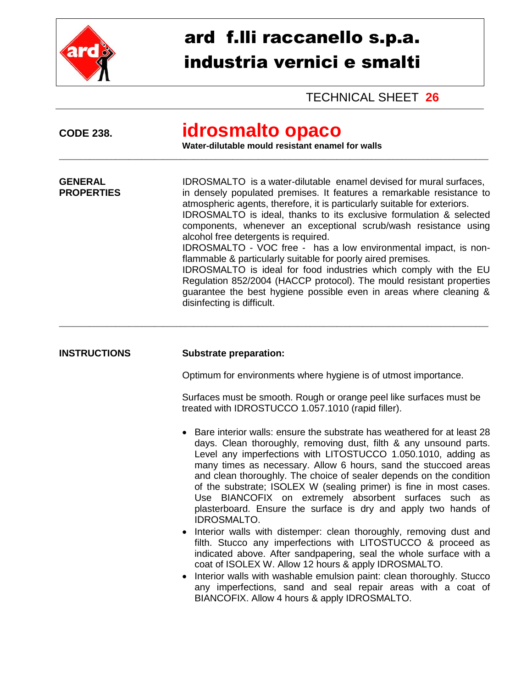

## ard f.lli raccanello s.p.a. industria vernici e smalti

TECHNICAL SHEET **26**

| <b>CODE 238.</b>                    | <b>idrosmalto opaco</b><br>Water-dilutable mould resistant enamel for walls                                                                                                                                                                                                                                                                                                                                                                                                                                                                                                                                                                                                                                                                                                                   |
|-------------------------------------|-----------------------------------------------------------------------------------------------------------------------------------------------------------------------------------------------------------------------------------------------------------------------------------------------------------------------------------------------------------------------------------------------------------------------------------------------------------------------------------------------------------------------------------------------------------------------------------------------------------------------------------------------------------------------------------------------------------------------------------------------------------------------------------------------|
| <b>GENERAL</b><br><b>PROPERTIES</b> | IDROSMALTO is a water-dilutable enamel devised for mural surfaces,<br>in densely populated premises. It features a remarkable resistance to<br>atmospheric agents, therefore, it is particularly suitable for exteriors.<br>IDROSMALTO is ideal, thanks to its exclusive formulation & selected<br>components, whenever an exceptional scrub/wash resistance using<br>alcohol free detergents is required.<br>IDROSMALTO - VOC free - has a low environmental impact, is non-<br>flammable & particularly suitable for poorly aired premises.<br>IDROSMALTO is ideal for food industries which comply with the EU<br>Regulation 852/2004 (HACCP protocol). The mould resistant properties<br>guarantee the best hygiene possible even in areas where cleaning &<br>disinfecting is difficult. |
| <b>INSTRUCTIONS</b>                 | <b>Substrate preparation:</b>                                                                                                                                                                                                                                                                                                                                                                                                                                                                                                                                                                                                                                                                                                                                                                 |
|                                     | Optimum for environments where hygiene is of utmost importance.                                                                                                                                                                                                                                                                                                                                                                                                                                                                                                                                                                                                                                                                                                                               |
|                                     | Surfaces must be smooth. Rough or orange peel like surfaces must be<br>treated with IDROSTUCCO 1.057.1010 (rapid filler).                                                                                                                                                                                                                                                                                                                                                                                                                                                                                                                                                                                                                                                                     |
|                                     | Bare interior walls: ensure the substrate has weathered for at least 28<br>days. Clean thoroughly, removing dust, filth & any unsound parts.<br>Level any imperfections with LITOSTUCCO 1.050.1010, adding as<br>many times as necessary. Allow 6 hours, sand the stuccoed areas<br>and clean thoroughly. The choice of sealer depends on the condition<br>of the substrate; ISOLEX W (sealing primer) is fine in most cases.<br>Use BIANCOFIX on extremely absorbent surfaces such as<br>plasterboard. Ensure the surface is dry and apply two hands of<br><b>IDROSMALTO.</b><br>Interior walls with distemper: clean thoroughly, removing dust and                                                                                                                                          |
|                                     | filth. Stucco any imperfections with LITOSTUCCO & proceed as<br>indicated above. After sandpapering, seal the whole surface with a<br>coat of ISOLEX W. Allow 12 hours & apply IDROSMALTO.<br>Interior walls with washable emulsion paint: clean thoroughly. Stucco<br>$\bullet$<br>any imperfections, sand and seal repair areas with a coat of<br>BIANCOFIX. Allow 4 hours & apply IDROSMALTO.                                                                                                                                                                                                                                                                                                                                                                                              |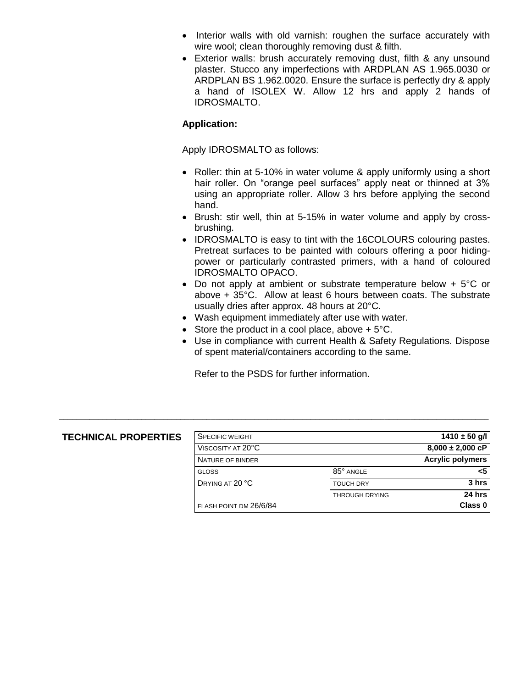- Interior walls with old varnish: roughen the surface accurately with wire wool; clean thoroughly removing dust & filth.
- Exterior walls: brush accurately removing dust, filth & any unsound plaster. Stucco any imperfections with ARDPLAN AS 1.965.0030 or ARDPLAN BS 1.962.0020. Ensure the surface is perfectly dry & apply a hand of ISOLEX W. Allow 12 hrs and apply 2 hands of IDROSMALTO.

## **Application:**

Apply IDROSMALTO as follows:

- Roller: thin at 5-10% in water volume & apply uniformly using a short hair roller. On "orange peel surfaces" apply neat or thinned at 3% using an appropriate roller. Allow 3 hrs before applying the second hand.
- Brush: stir well, thin at 5-15% in water volume and apply by crossbrushing.
- IDROSMALTO is easy to tint with the 16COLOURS colouring pastes. Pretreat surfaces to be painted with colours offering a poor hidingpower or particularly contrasted primers, with a hand of coloured IDROSMALTO OPACO.
- Do not apply at ambient or substrate temperature below + 5°C or above + 35°C. Allow at least 6 hours between coats. The substrate usually dries after approx. 48 hours at 20°C.
- Wash equipment immediately after use with water.
- Store the product in a cool place, above  $+5^{\circ}$ C.
- Use in compliance with current Health & Safety Regulations. Dispose of spent material/containers according to the same.

Refer to the PSDS for further information.

\_\_\_\_\_\_\_\_\_\_\_\_\_\_\_\_\_\_\_\_\_\_\_\_\_\_\_\_\_\_\_\_\_\_\_\_\_\_\_\_\_\_\_\_\_\_\_\_\_\_\_\_\_\_\_\_\_\_\_\_\_\_\_\_\_\_\_\_\_\_\_\_\_\_\_\_\_\_\_\_\_\_\_\_\_\_\_\_\_\_\_\_\_\_\_\_\_\_\_

| <b>TECHNICAL PROPERTIES</b> | <b>SPECIFIC WEIGHT</b> |                       | 1410 $\pm$ 50 g/l       |
|-----------------------------|------------------------|-----------------------|-------------------------|
|                             | VISCOSITY AT 20°C      |                       | $8,000 \pm 2,000$ cP    |
|                             | NATURE OF BINDER       |                       | <b>Acrylic polymers</b> |
|                             | <b>GLOSS</b>           | 85° ANGLE             | <5                      |
|                             | DRYING AT 20 °C        | <b>TOUCH DRY</b>      | 3 hrs                   |
|                             |                        | <b>THROUGH DRYING</b> | 24 hrs                  |
|                             | FLASH POINT DM 26/6/84 |                       | Class 0                 |